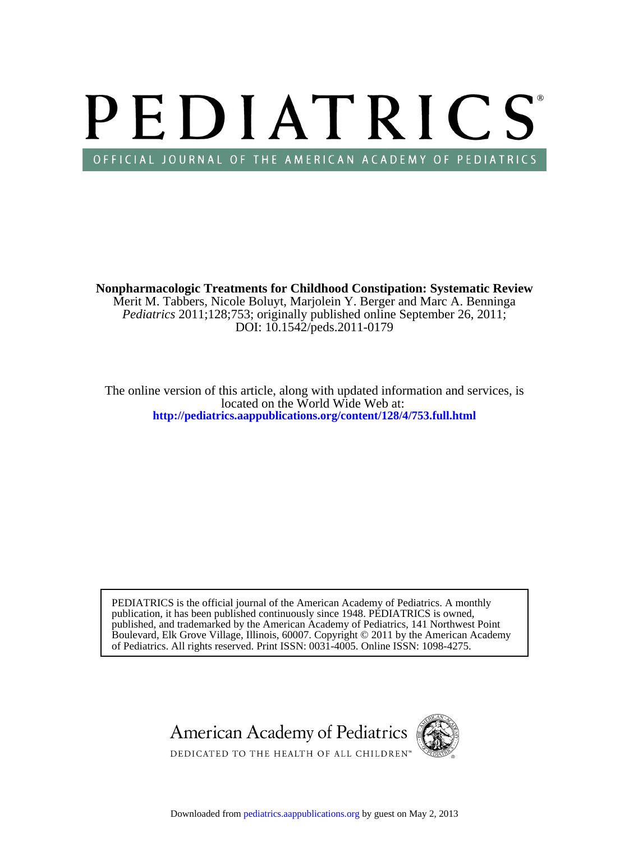# PEDIATRICS OFFICIAL JOURNAL OF THE AMERICAN ACADEMY OF PEDIATRICS

DOI: 10.1542/peds.2011-0179 *Pediatrics* 2011;128;753; originally published online September 26, 2011; Merit M. Tabbers, Nicole Boluyt, Marjolein Y. Berger and Marc A. Benninga **Nonpharmacologic Treatments for Childhood Constipation: Systematic Review**

**<http://pediatrics.aappublications.org/content/128/4/753.full.html>** located on the World Wide Web at: The online version of this article, along with updated information and services, is

of Pediatrics. All rights reserved. Print ISSN: 0031-4005. Online ISSN: 1098-4275. Boulevard, Elk Grove Village, Illinois, 60007. Copyright © 2011 by the American Academy published, and trademarked by the American Academy of Pediatrics, 141 Northwest Point publication, it has been published continuously since 1948. PEDIATRICS is owned, PEDIATRICS is the official journal of the American Academy of Pediatrics. A monthly

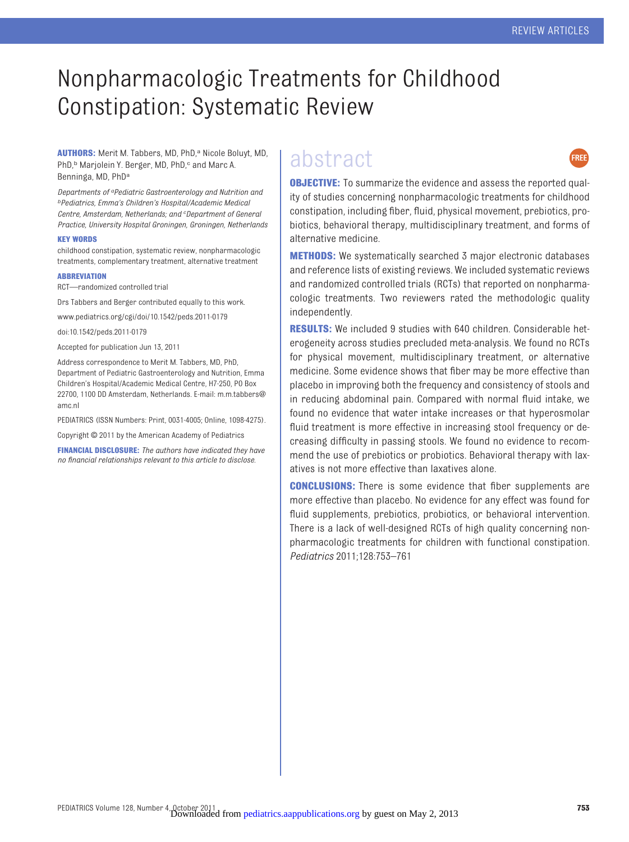## Nonpharmacologic Treatments for Childhood Constipation: Systematic Review

**AUTHORS:** Merit M. Tabbers, MD, PhD,<sup>a</sup> Nicole Boluyt, MD, PhD,<sup>b</sup> Marjolein Y. Berger, MD, PhD,<sup>c</sup> and Marc A. Benninga, MD, PhDa

*Departments of aPediatric Gastroenterology and Nutrition and bPediatrics, Emma's Children's Hospital/Academic Medical Centre, Amsterdam, Netherlands; and <sup>c</sup> Department of General Practice, University Hospital Groningen, Groningen, Netherlands*

#### **KEY WORDS**

childhood constipation, systematic review, nonpharmacologic treatments, complementary treatment, alternative treatment

#### **ABBREVIATION**

RCT—randomized controlled trial

Drs Tabbers and Berger contributed equally to this work.

www.pediatrics.org/cgi/doi/10.1542/peds.2011-0179

doi:10.1542/peds.2011-0179

Accepted for publication Jun 13, 2011

Address correspondence to Merit M. Tabbers, MD, PhD, Department of Pediatric Gastroenterology and Nutrition, Emma Children's Hospital/Academic Medical Centre, H7-250, PO Box 22700, 1100 DD Amsterdam, Netherlands. E-mail: m.m.tabbers@ amc.nl

PEDIATRICS (ISSN Numbers: Print, 0031-4005; Online, 1098-4275).

Copyright © 2011 by the American Academy of Pediatrics

**FINANCIAL DISCLOSURE:** *The authors have indicated they have no financial relationships relevant to this article to disclose.*

### abstract



**OBJECTIVE:** To summarize the evidence and assess the reported quality of studies concerning nonpharmacologic treatments for childhood constipation, including fiber, fluid, physical movement, prebiotics, probiotics, behavioral therapy, multidisciplinary treatment, and forms of alternative medicine.

**METHODS:** We systematically searched 3 major electronic databases and reference lists of existing reviews. We included systematic reviews and randomized controlled trials (RCTs) that reported on nonpharmacologic treatments. Two reviewers rated the methodologic quality independently.

**RESULTS:** We included 9 studies with 640 children. Considerable heterogeneity across studies precluded meta-analysis. We found no RCTs for physical movement, multidisciplinary treatment, or alternative medicine. Some evidence shows that fiber may be more effective than placebo in improving both the frequency and consistency of stools and in reducing abdominal pain. Compared with normal fluid intake, we found no evidence that water intake increases or that hyperosmolar fluid treatment is more effective in increasing stool frequency or decreasing difficulty in passing stools. We found no evidence to recommend the use of prebiotics or probiotics. Behavioral therapy with laxatives is not more effective than laxatives alone.

**CONCLUSIONS:** There is some evidence that fiber supplements are more effective than placebo. No evidence for any effect was found for fluid supplements, prebiotics, probiotics, or behavioral intervention. There is a lack of well-designed RCTs of high quality concerning nonpharmacologic treatments for children with functional constipation. *Pediatrics* 2011;128:753–761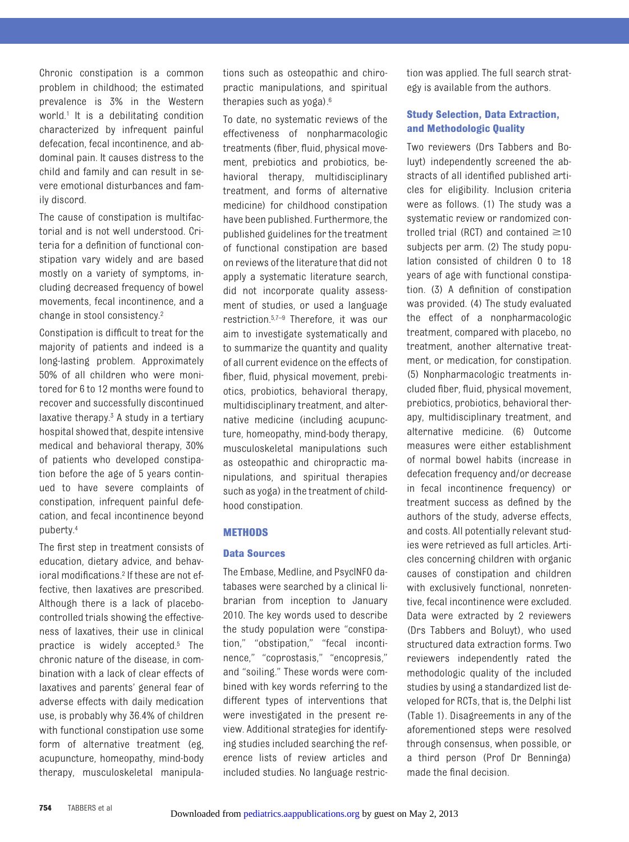Chronic constipation is a common problem in childhood; the estimated prevalence is 3% in the Western world.<sup>1</sup> It is a debilitating condition characterized by infrequent painful defecation, fecal incontinence, and abdominal pain. It causes distress to the child and family and can result in severe emotional disturbances and family discord.

The cause of constipation is multifactorial and is not well understood. Criteria for a definition of functional constipation vary widely and are based mostly on a variety of symptoms, including decreased frequency of bowel movements, fecal incontinence, and a change in stool consistency[.2](#page-9-1)

Constipation is difficult to treat for the majority of patients and indeed is a long-lasting problem. Approximately 50% of all children who were monitored for 6 to 12 months were found to recover and successfully discontinued laxative therapy. $3$  A study in a tertiary hospital showed that, despite intensive medical and behavioral therapy, 30% of patients who developed constipation before the age of 5 years continued to have severe complaints of constipation, infrequent painful defecation, and fecal incontinence beyond puberty[.4](#page-9-3)

The first step in treatment consists of education, dietary advice, and behavioral modifications[.2](#page-9-1) If these are not effective, then laxatives are prescribed. Although there is a lack of placebocontrolled trials showing the effectiveness of laxatives, their use in clinical practice is widely accepted[.5](#page-9-4) The chronic nature of the disease, in combination with a lack of clear effects of laxatives and parents' general fear of adverse effects with daily medication use, is probably why 36.4% of children with functional constipation use some form of alternative treatment (eg, acupuncture, homeopathy, mind-body therapy, musculoskeletal manipulations such as osteopathic and chiropractic manipulations, and spiritual therapies such as yoga)[.6](#page-9-5)

To date, no systematic reviews of the effectiveness of nonpharmacologic treatments (fiber, fluid, physical movement, prebiotics and probiotics, behavioral therapy, multidisciplinary treatment, and forms of alternative medicine) for childhood constipation have been published. Furthermore, the published guidelines for the treatment of functional constipation are based on reviews of the literature that did not apply a systematic literature search, did not incorporate quality assessment of studies, or used a language restriction[.5](#page-9-4)[,7](#page-9-6)[–9](#page-9-7) Therefore, it was our aim to investigate systematically and to summarize the quantity and quality of all current evidence on the effects of fiber, fluid, physical movement, prebiotics, probiotics, behavioral therapy, multidisciplinary treatment, and alternative medicine (including acupuncture, homeopathy, mind-body therapy, musculoskeletal manipulations such as osteopathic and chiropractic manipulations, and spiritual therapies such as yoga) in the treatment of childhood constipation.

#### **METHODS**

#### **Data Sources**

The Embase, Medline, and PsycINFO databases were searched by a clinical librarian from inception to January 2010. The key words used to describe the study population were "constipation," "obstipation," "fecal incontinence," "coprostasis," "encopresis," and "soiling." These words were combined with key words referring to the different types of interventions that were investigated in the present review. Additional strategies for identifying studies included searching the reference lists of review articles and included studies. No language restriction was applied. The full search strategy is available from the authors.

#### **Study Selection, Data Extraction, and Methodologic Quality**

Two reviewers (Drs Tabbers and Boluyt) independently screened the abstracts of all identified published articles for eligibility. Inclusion criteria were as follows. (1) The study was a systematic review or randomized controlled trial (RCT) and contained  $\geq$ 10 subjects per arm. (2) The study population consisted of children 0 to 18 years of age with functional constipation. (3) A definition of constipation was provided. (4) The study evaluated the effect of a nonpharmacologic treatment, compared with placebo, no treatment, another alternative treatment, or medication, for constipation. (5) Nonpharmacologic treatments included fiber, fluid, physical movement, prebiotics, probiotics, behavioral therapy, multidisciplinary treatment, and alternative medicine. (6) Outcome measures were either establishment of normal bowel habits (increase in defecation frequency and/or decrease in fecal incontinence frequency) or treatment success as defined by the authors of the study, adverse effects, and costs. All potentially relevant studies were retrieved as full articles. Articles concerning children with organic causes of constipation and children with exclusively functional, nonretentive, fecal incontinence were excluded. Data were extracted by 2 reviewers (Drs Tabbers and Boluyt), who used structured data extraction forms. Two reviewers independently rated the methodologic quality of the included studies by using a standardized list developed for RCTs, that is, the Delphi list [\(Table 1\)](#page-3-0). Disagreements in any of the aforementioned steps were resolved through consensus, when possible, or a third person (Prof Dr Benninga) made the final decision.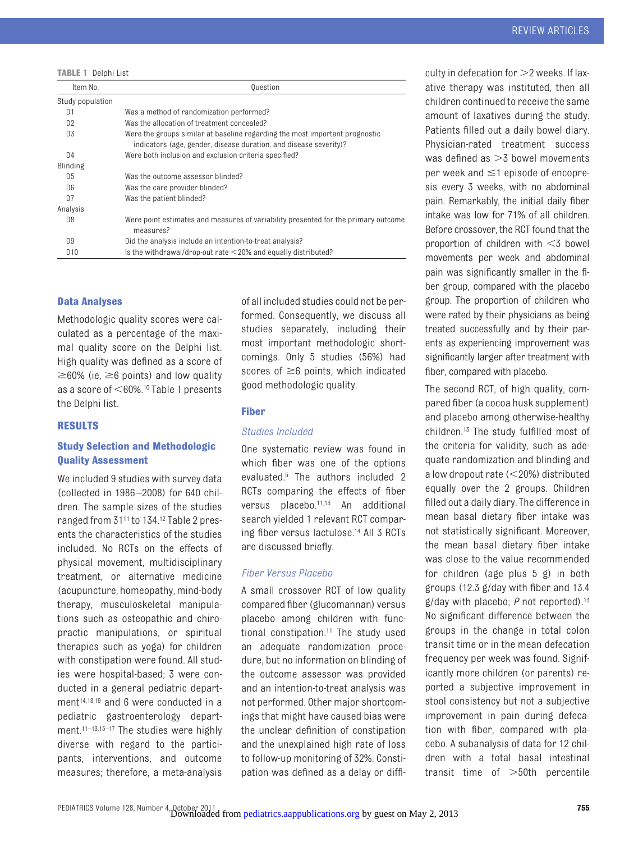<span id="page-3-0"></span>**TABLE 1** Delphi List

| Item No.         | <b>Question</b>                                                                                                                                  |
|------------------|--------------------------------------------------------------------------------------------------------------------------------------------------|
| Study population |                                                                                                                                                  |
| D1               | Was a method of randomization performed?                                                                                                         |
| D <sub>2</sub>   | Was the allocation of treatment concealed?                                                                                                       |
| D3               | Were the groups similar at baseline regarding the most important prognostic<br>indicators (age, gender, disease duration, and disease severity)? |
| D <sub>4</sub>   | Were both inclusion and exclusion criteria specified?                                                                                            |
| Blinding         |                                                                                                                                                  |
| D <sub>5</sub>   | Was the outcome assessor blinded?                                                                                                                |
| D <sub>6</sub>   | Was the care provider blinded?                                                                                                                   |
| D7               | Was the patient blinded?                                                                                                                         |
| Analysis         |                                                                                                                                                  |
| D <sub>8</sub>   | Were point estimates and measures of variability presented for the primary outcome<br>measures?                                                  |
| D <sub>9</sub>   | Did the analysis include an intention-to-treat analysis?                                                                                         |
| D <sub>10</sub>  | Is the withdrawal/drop-out rate $\leq$ 20% and equally distributed?                                                                              |

#### **Data Analyses**

Methodologic quality scores were calculated as a percentage of the maximal quality score on the Delphi list. High quality was defined as a score of  $\geq$ 60% (ie,  $\geq$ 6 points) and low quality as a score of  $<$  60%.<sup>10</sup> [Table 1](#page-3-0) presents the Delphi list.

#### **RESULTS**

#### **Study Selection and Methodologic Quality Assessment**

We included 9 studies with survey data (collected in 1986 –2008) for 640 children. The sample sizes of the studies ranged from 3[111](#page-9-9) to 134[.12](#page-9-10) [Table 2](#page-4-0) presents the characteristics of the studies included. No RCTs on the effects of physical movement, multidisciplinary treatment, or alternative medicine (acupuncture, homeopathy, mind-body therapy, musculoskeletal manipulations such as osteopathic and chiropractic manipulations, or spiritual therapies such as yoga) for children with constipation were found. All studies were hospital-based; 3 were conducted in a general pediatric depart-ment<sup>14,[18,](#page-9-12)[19](#page-9-13)</sup> and 6 were conducted in a pediatric gastroenterology depart-ment.<sup>11–[13](#page-9-14)[,15](#page-9-15)[–17](#page-9-16)</sup> The studies were highly diverse with regard to the participants, interventions, and outcome measures; therefore, a meta-analysis

of all included studies could not be performed. Consequently, we discuss all studies separately, including their most important methodologic shortcomings. Only 5 studies (56%) had scores of  $\geq 6$  points, which indicated good methodologic quality.

#### **Fiber**

#### *Studies Included*

One systematic review was found in which fiber was one of the options evaluated[.5](#page-9-4) The authors included 2 RCTs comparing the effects of fiber versus placebo.<sup>11,[13](#page-9-14)</sup> An additional search yielded 1 relevant RCT comparing fiber versus lactulose[.14](#page-9-11) All 3 RCTs are discussed briefly.

#### *Fiber Versus Placebo*

A small crossover RCT of low quality compared fiber (glucomannan) versus placebo among children with functional constipation[.11](#page-9-9) The study used an adequate randomization procedure, but no information on blinding of the outcome assessor was provided and an intention-to-treat analysis was not performed. Other major shortcomings that might have caused bias were the unclear definition of constipation and the unexplained high rate of loss to follow-up monitoring of 32%. Constipation was defined as a delay or diffi-

culty in defecation for  $>$  2 weeks. If laxative therapy was instituted, then all children continued to receive the same amount of laxatives during the study. Patients filled out a daily bowel diary. Physician-rated treatment success was defined as  $>$ 3 bowel movements per week and  $\leq$ 1 episode of encopresis every 3 weeks, with no abdominal pain. Remarkably, the initial daily fiber intake was low for 71% of all children. Before crossover, the RCT found that the proportion of children with  $<$ 3 bowel movements per week and abdominal pain was significantly smaller in the fiber group, compared with the placebo group. The proportion of children who were rated by their physicians as being treated successfully and by their parents as experiencing improvement was significantly larger after treatment with fiber, compared with placebo.

The second RCT, of high quality, compared fiber (a cocoa husk supplement) and placebo among otherwise-healthy children[.13](#page-9-14) The study fulfilled most of the criteria for validity, such as adequate randomization and blinding and a low dropout rate (20%) distributed equally over the 2 groups. Children filled out a daily diary. The difference in mean basal dietary fiber intake was not statistically significant. Moreover, the mean basal dietary fiber intake was close to the value recommended for children (age plus 5 g) in both groups (12.3 g/day with fiber and 13.4 g/day with placebo; *P* not reported)[.13](#page-9-14) No significant difference between the groups in the change in total colon transit time or in the mean defecation frequency per week was found. Significantly more children (or parents) reported a subjective improvement in stool consistency but not a subjective improvement in pain during defecation with fiber, compared with placebo. A subanalysis of data for 12 children with a total basal intestinal  $transit$  time of  $>50th$  percentile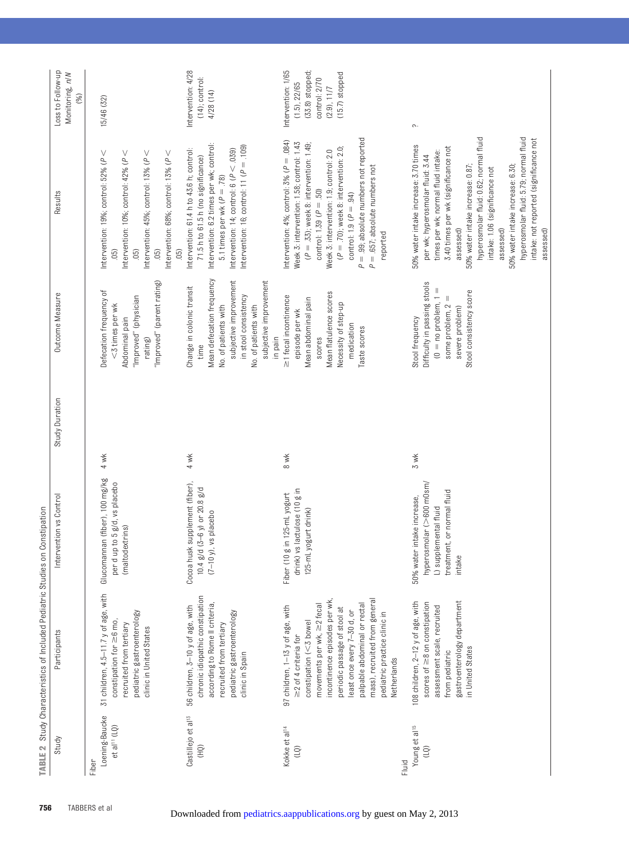<span id="page-4-0"></span>

| Loss to Follow-up<br>Monitoring, n/N<br>(%)                                                 | 15/46 (32)                                                                                                                                                                                                          | Intervention: 4/28<br>$(14)$ ; control:<br>4/28(14)                                                                                                                                                                                                      | Intervention: 1/65<br>(33.8) stopped;<br>$(15.7)$ stopped<br>control: 2/70<br>(1.5), 22/65<br>(2.9), 11/7                                                                                                                                                                                                                                                                                       | $\curvearrowright$ .                                                                                                                                                                                                                                                                                                                                                                                                     |
|---------------------------------------------------------------------------------------------|---------------------------------------------------------------------------------------------------------------------------------------------------------------------------------------------------------------------|----------------------------------------------------------------------------------------------------------------------------------------------------------------------------------------------------------------------------------------------------------|-------------------------------------------------------------------------------------------------------------------------------------------------------------------------------------------------------------------------------------------------------------------------------------------------------------------------------------------------------------------------------------------------|--------------------------------------------------------------------------------------------------------------------------------------------------------------------------------------------------------------------------------------------------------------------------------------------------------------------------------------------------------------------------------------------------------------------------|
| Results                                                                                     | Intervention: 19%; control: 52% ( $P \leq$<br>Intervention: 10%; control: 42% ( $P \leq$<br>Intervention: 45%; control: 13% ( $P \leq$<br>Intervention: 68%; control: 13% ( $P \leq$<br>(50)<br>(05)<br>(50)<br>(5) | Intervention: 6.2 times per wk; control:<br>Intervention: 16; control: 11 ( $P = .109$ )<br>Intervention: 61.4 h to 43.6 h; control:<br>Intervention: 14; control: $6 (P < 039)$<br>71.5 h to 61.5 h (no significance)<br>5.1 times per wk ( $P = .78$ ) | $P = .99$ ; absolute numbers not reported<br>Intervention: $4\%$ ; control: $3\%$ ( $P = .084$ )<br>Week 3: intervention: 1.58; control: 1.43<br>$(P = .33)$ ; week 8: intervention: 1.49;<br>$(P = .70)$ ; week 8: intervention: 2.0;<br>Week 3: intervention: 1.9; control: 2.0<br>$P = .657$ ; absolute numbers not<br>control: $1.39$ ( $P = .50$ )<br>control: $1.9 (P = .94)$<br>reported | hyperosmolar fluid: 5.79; normal fluid<br>hyperosmolar fluid: 0.62; normal fluid<br>intake: not reported (significance not<br>50% water intake increase: 3.70 times<br>3.40 times per wk (significance not<br>times per wk; normal fluid intake:<br>per wk; hyperosmolar fluid: 3.44<br>50% water intake increase: 0.87;<br>50% water intake increase: 6.30;<br>intake: 1.06 (significance not<br>assessed)<br>assessed) |
| Outcome Measure                                                                             | "Improved" (parent rating)<br>Defecation frequency of<br>"Improved" (physician<br><3 times per wk<br>Abdominal pain<br>rating)                                                                                      | Mean defecation frequency<br>subjective improvement<br>subjective improvement<br>Change in colonic transit<br>in stool consistency<br>No. of patients with<br>No. of patients with<br>in pain<br>time                                                    | Mean flatulence scores<br>≥1 fecal incontinence<br>Mean abdominal pain<br>Necessity of step-up<br>episode per wk<br>medication<br>Taste scores<br>scores                                                                                                                                                                                                                                        | Difficulty in passing stools<br>Stool consistency score<br>$(0 = no$ problem, 1<br>some problem, 2<br>severe problem)<br>Stool frequency                                                                                                                                                                                                                                                                                 |
| Study Duration                                                                              | 4 wk                                                                                                                                                                                                                | 4 wk                                                                                                                                                                                                                                                     | 8 wk                                                                                                                                                                                                                                                                                                                                                                                            | 3 wk                                                                                                                                                                                                                                                                                                                                                                                                                     |
| Intervention vs Control                                                                     | Glucomannan (fiber), 100 mg/kg<br>per d up to 5 g/d, vs placebo<br>(maltodextrins)                                                                                                                                  | Cocoa husk supplement (fiber),<br>10.4 g/d (3-6 y) or 20.8 g/d<br>vs placebo<br>$(7-10 y)$ ,                                                                                                                                                             | drink) vs lactulose (10 g in<br>Fiber (10 g in 125-mL yogurt<br>125-mL yogurt drink)                                                                                                                                                                                                                                                                                                            | hyperosmolar (>600 m0sm/<br>treatment, or normal fluid<br>50% water intake increase,<br>L) supplemental fluid<br>intake                                                                                                                                                                                                                                                                                                  |
| TABLE 2 Study Characteristics of Included Pediatric Studies on Constipation<br>Participants | 31 children, 4.5-11.7 y of age, with<br>pediatric gastroenterology<br>constipation for $\geq$ 6 mo,<br>recruited from tertiary<br>clinic in United States                                                           | chronic idiopathic constipation<br>according to Rome II criteria,<br>56 children, 3-10 y of age, with<br>pediatric gastroenterology<br>recruited from tertiary<br>clinic in Spain                                                                        | incontinence episodes per wk,<br>mass), recruited from general<br>movements per wk, $\geq$ 2 fecal<br>palpable abdominal or rectal<br>97 children, 1-13 y of age, with<br>periodic passage of stool at<br>least once every 7-30 d, or<br>pediatric practice clinic in<br>$constant$ (<3 bowel<br>$\geq$ 2 of 4 criteria for<br>Netherlands                                                      | gastroenterology department<br>108 children, 2-12 y of age, with<br>scores of ≥8 on constipation<br>assessment scale, recruited<br>in United States<br>from pediatric                                                                                                                                                                                                                                                    |
| Study                                                                                       | Loening-Baucke<br>et al <sup>11</sup> (LQ)<br>Fiber                                                                                                                                                                 | Castillejo et al <sup>13</sup><br>ÎΕ)                                                                                                                                                                                                                    | Kokke et al <sup>14</sup><br>ĝ                                                                                                                                                                                                                                                                                                                                                                  | Young et al <sup>15</sup><br>Fluid                                                                                                                                                                                                                                                                                                                                                                                       |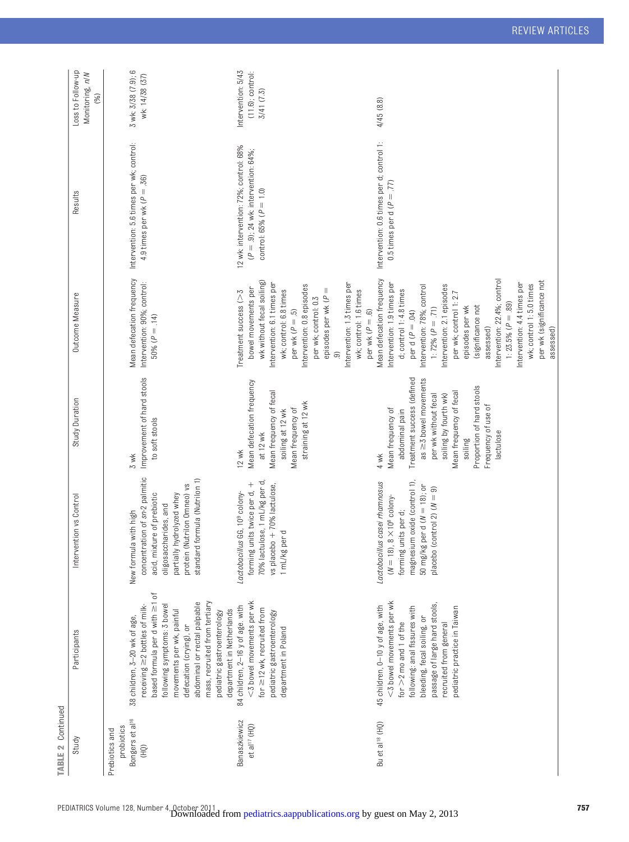| <b>TABLE 2 Continued</b>                                                              |                                                                                                                                                                                                                                                                                                                                |                                                                                                                                                                                                             |                                                                                                                                                                                                                                                                  |                                                                                                                                                                                                                                                                                                                                                                                                                                                               |                                                                                                                  |                                                             |
|---------------------------------------------------------------------------------------|--------------------------------------------------------------------------------------------------------------------------------------------------------------------------------------------------------------------------------------------------------------------------------------------------------------------------------|-------------------------------------------------------------------------------------------------------------------------------------------------------------------------------------------------------------|------------------------------------------------------------------------------------------------------------------------------------------------------------------------------------------------------------------------------------------------------------------|---------------------------------------------------------------------------------------------------------------------------------------------------------------------------------------------------------------------------------------------------------------------------------------------------------------------------------------------------------------------------------------------------------------------------------------------------------------|------------------------------------------------------------------------------------------------------------------|-------------------------------------------------------------|
| Study                                                                                 | Participants                                                                                                                                                                                                                                                                                                                   | ntion vs Control<br>Interve                                                                                                                                                                                 | Study Duration                                                                                                                                                                                                                                                   | Outcome Measure                                                                                                                                                                                                                                                                                                                                                                                                                                               | Results                                                                                                          | Loss to Follow-up<br>Monitoring, n/N<br>(%)                 |
| Bongers et al <sup>16</sup><br>probiotics<br>Prebiotics and<br>$\widehat{\mathbb{R}}$ | based formula per d with $\geq 1$ of<br>abdominal or rectal palpable<br>mass, recruited from tertiary<br>following symptoms: 3 bowel<br>$receiving \geq 2$ bottles of milk-<br>department in Netherlands<br>movements per wk, painful<br>pediatric gastroenterology<br>38 children, 3-20 wk of age,<br>defecation (crying), or | concentration of sn-2 palmitic<br>standard formula (Nutrilon 1)<br>protein (Nutrilon Omneo) vs<br>partially hydrolyzed whey<br>acid, mixture of prebiotic<br>oligosaccharides, and<br>New formula with high | Improvement of hard stools<br>to soft stools<br>3 wk                                                                                                                                                                                                             | Mean defecation frequency<br>Intervention: 90%; control:<br>50% ( $P = .14$ )                                                                                                                                                                                                                                                                                                                                                                                 | Intervention: 5.6 times per wk; control:<br>4.9 times per wk ( $P = .36$ )                                       | 3 wk: 3/38 (7.9); 6<br>wk: 14/38 (37)                       |
| <b>Banaszkiewicz</b><br>et al <sup>17</sup> (HQ)                                      | <3 bowel movements per wk<br>84 children, 2-16 y of age. with<br>for $\geq$ 12 wk, recruited from<br>pediatric gastroenterology<br>department in Poland                                                                                                                                                                        | 70% lactulose, 1 mL/kg per d,<br>forming units twice per d, +<br>vs placebo + 70% lactulose,<br>Lactobacillus GG, 10 <sup>9</sup> colony-<br>1 mL/kg per d                                                  | Mean defecation frequency<br>Mean frequency of fecal<br>straining at 12 wk<br>Mean frequency of<br>soiling at 12 wk<br>at 12 wk<br>12 wk                                                                                                                         | wk without fecal soiling)<br>Intervention: 6.1 times per<br>Intervention: 1.3 times per<br>Intervention: 0.8 episodes<br>bowel movements per<br>wk; control: 6.8 times<br>episodes per wk $(P =$<br>wk; control: 1.6 times<br>Treatment success (>5<br>per wk; control: 0.3<br>per wk $(P = .5)$<br>ම                                                                                                                                                         | 12 wk. intervention: 72%; control: 68%<br>$(P = .9)$ ; 24 wk: intervention: 64%;<br>control: $65%$ ( $P = 1.0$ ) | Intervention: 5/43<br>$(11.6)$ ; control:<br>$3/41$ $(7.5)$ |
| Bu et al <sup>18</sup> (HQ)                                                           | <3 bowel movements per wk<br>passage of large hard stools,<br>45 children, 0-10 y of age, with<br>following: anal fissures with<br>pediatric practice in Taiwan<br>bleeding, fecal soiling, or<br>for $>2$ mo and 1 of the<br>recruited from general                                                                           | magnesium oxide (control 1),<br>Lactobacillus casei rhamnosus<br>50 mg/kg per d ( $N = 18$ ); or<br>placebo (control 2) $(N = 9)$<br>$(N = 18)$ , $8 \times 10^{8}$ colony<br>forming units per d;          | Treatment success (defined<br>as $\geq$ 3 bowel movements<br>Proportion of hard stools<br>Mean frequency of fecal<br>per wk without fecal<br>soiling by fourth wk)<br>Frequency of use of<br>Mean frequency of<br>abdominal pain<br>lactulose<br>soiling<br>4 wk | Mean defecation frequency<br>Intervention: 22.4%; control<br>per wk (significance not<br>Intervention: 1.9 times per<br>Intervention: 4.4 times per<br>Intervention: 78%; control<br>Intervention: 2.1 episodes<br>wk; control 1: 5.0 times<br>d; control 1: 4.8 times<br>per wk; control 1:2.7<br>1: 23.5% ( $P = .89$ )<br>(significance not<br>1: 72% ( $P = .71$ )<br>episodes per wk<br>per wk $(P = .6)$<br>per d $(P = .04)$<br>assessed)<br>assessed) | Intervention: 0.6 times per d; control 1:<br>0.5 times per d ( $P = .77$ )                                       | 4/45(8.8)                                                   |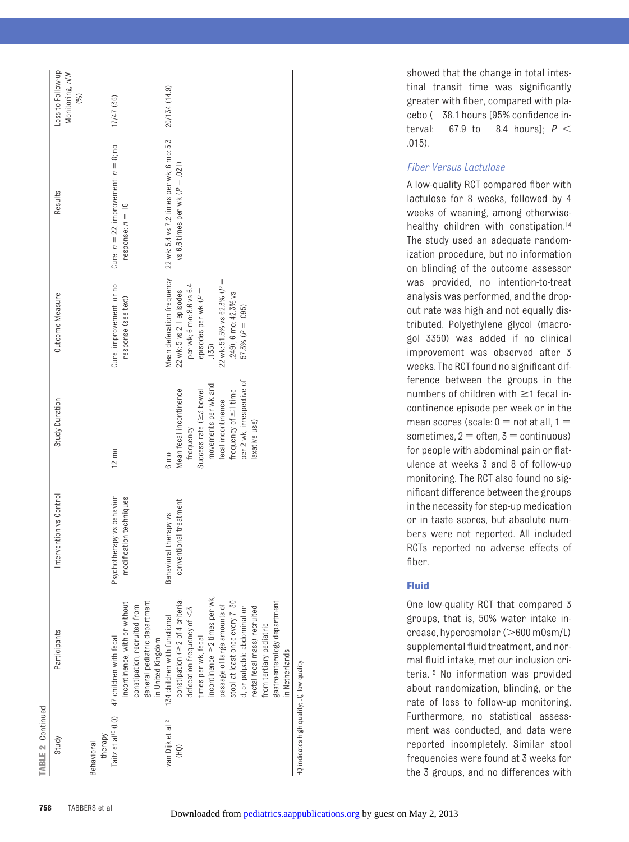| <b>TABLE 2 Continued</b>                                                                               |                                                                                                                                                                                                                                                                                                                                                                                                                       |                                                                                                              |                                                                                                                                                                                                                   |                                                                                                                                                                                                                            |                                                                                                                                                                             |                                             |
|--------------------------------------------------------------------------------------------------------|-----------------------------------------------------------------------------------------------------------------------------------------------------------------------------------------------------------------------------------------------------------------------------------------------------------------------------------------------------------------------------------------------------------------------|--------------------------------------------------------------------------------------------------------------|-------------------------------------------------------------------------------------------------------------------------------------------------------------------------------------------------------------------|----------------------------------------------------------------------------------------------------------------------------------------------------------------------------------------------------------------------------|-----------------------------------------------------------------------------------------------------------------------------------------------------------------------------|---------------------------------------------|
| Study                                                                                                  | Participants                                                                                                                                                                                                                                                                                                                                                                                                          | Intervention vs Control                                                                                      | Study Duration                                                                                                                                                                                                    | Outcome Measure                                                                                                                                                                                                            | Results                                                                                                                                                                     | Loss to Follow-up<br>Monitoring, n/N<br>(%) |
| Taitz et al <sup>19</sup> (LQ)<br>van Dijk et al <sup>12</sup><br>therapy<br><b>Behavioral</b><br>(HQ) | incontinence $\geq$ 2 times per wk,<br>constipation ( $\geq$ 2 of 4 criteria:<br>general pediatric department<br>stool at least once every 7-30<br>incontinence, with or without<br>passage of large amounts of<br>constipation, recruited from<br>d, or palpable abdominal or<br>defecation frequency of $<$ 3<br>134 children with functional<br>times per wk, fecal<br>47 children with fecal<br>in United Kingdom | Psychotherapy vs behavior<br>tion techniques<br>conventional treatment<br>Behavioral therapy vs<br>modificat | per 2 wk, irrespective of<br>movements per wk and<br>Mean fecal incontinence<br>Success rate ( $\geq$ 3 bowel<br>frequency of $\leq$ 1 time<br>fecal incontinence<br>frequency<br>$12 \text{ m}$<br>$6 \text{ m}$ | 22 wk: 51.5% vs 62.3% ( $P =$<br>Cure, improvement, or no<br>per wk; 6 mo: 8.6 vs 6.4<br>episodes per wk $(P =$<br>22 wk: 5 vs 2.1 episodes<br>249); 6 mo: 42.3% vs<br>response (see text)<br>$57.3\% (P = .095)$<br>.135) | Mean defecation frequency 22 wk: 5.4 vs 7.2 times per wk; 6 mo: 5.3<br>Cure: $n = 22$ ; improvement: $n = 8$ ; no<br>vs 6.6 times per wk $(P = .021)$<br>response: $n = 16$ | 20/134 (14.9)<br>17/47 (36)                 |
|                                                                                                        | gastroenterology department<br>rectal fecal mass) recruited<br>from tertiary pediatric<br>in Netherlands                                                                                                                                                                                                                                                                                                              |                                                                                                              | laxative use)                                                                                                                                                                                                     |                                                                                                                                                                                                                            |                                                                                                                                                                             |                                             |
| HQ indicates high quality; LQ, low quality.                                                            |                                                                                                                                                                                                                                                                                                                                                                                                                       |                                                                                                              |                                                                                                                                                                                                                   |                                                                                                                                                                                                                            |                                                                                                                                                                             |                                             |

showed that the change in total intestinal transit time was significantly greater with fiber, compared with pla $cebo$  ( $-38.1$  hours  $[95%$  confidence interval:  $-67.9$  to  $-8.4$  hours];  $P <$ .015).

#### *Fiber Versus Lactulose*

A low-quality RCT compared fiber with lactulose for 8 weeks, followed by 4 weeks of weaning, among otherwisehealthy children with constipation.<sup>14</sup> The study used an adequate randomization procedure, but no information on blinding of the outcome assessor was provided, no intention-to-treat analysis was performed, and the dropout rate was high and not equally distributed. Polyethylene glycol (macrogol 3350) was added if no clinical improvement was observed after 3 weeks. The RCT found no significant difference between the groups in the numbers of children with  $\geq$ 1 fecal incontinence episode per week or in the mean scores (scale:  $0 =$  not at all,  $1 =$ sometimes,  $2 =$  often,  $3 =$  continuous) for people with abdominal pain or flatulence at weeks 3 and 8 of follow-up monitoring. The RCT also found no significant difference between the groups in the necessity for step-up medication or in taste scores, but absolute numbers were not reported. All included RCTs reported no adverse effects of fiber.

#### **Fluid**

One low-quality RCT that compared 3 groups, that is, 50% water intake increase, hyperosmolar (>600 m0sm/L) supplemental fluid treatment, and normal fluid intake, met our inclusion criteria[.15](#page-9-15) No information was provided about randomization, blinding, or the rate of loss to follow-up monitoring. Furthermore, no statistical assessment was conducted, and data were reported incompletely. Similar stool frequencies were found at 3 weeks for the 3 groups, and no differences with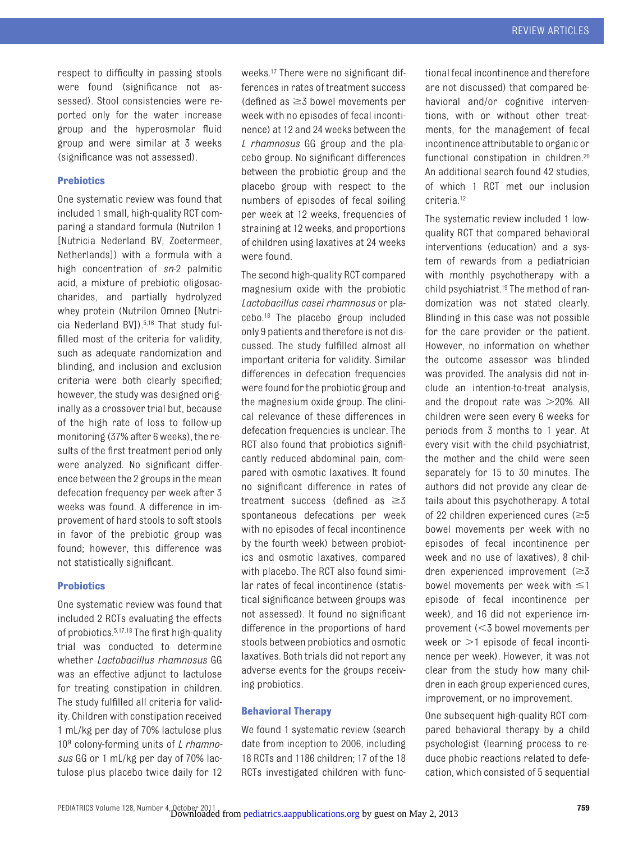respect to difficulty in passing stools were found (significance not assessed). Stool consistencies were reported only for the water increase group and the hyperosmolar fluid group and were similar at 3 weeks (significance was not assessed).

#### **Prebiotics**

One systematic review was found that included 1 small, high-quality RCT comparing a standard formula (Nutrilon 1 [Nutricia Nederland BV, Zoetermeer, Netherlands]) with a formula with a high concentration of *sn*-2 palmitic acid, a mixture of prebiotic oligosaccharides, and partially hydrolyzed whey protein (Nutrilon Omneo [Nutricia Nederland BV])[.5,](#page-9-4)[16](#page-9-17) That study fulfilled most of the criteria for validity, such as adequate randomization and blinding, and inclusion and exclusion criteria were both clearly specified; however, the study was designed originally as a crossover trial but, because of the high rate of loss to follow-up monitoring (37% after 6 weeks), the results of the first treatment period only were analyzed. No significant difference between the 2 groups in the mean defecation frequency per week after 3 weeks was found. A difference in improvement of hard stools to soft stools in favor of the prebiotic group was found; however, this difference was not statistically significant.

#### **Probiotics**

One systematic review was found that included 2 RCTs evaluating the effects of probiotics[.5](#page-9-4)[,17](#page-9-16)[,18](#page-9-12) The first high-quality trial was conducted to determine whether *Lactobacillus rhamnosus* GG was an effective adjunct to lactulose for treating constipation in children. The study fulfilled all criteria for validity. Children with constipation received 1 mL/kg per day of 70% lactulose plus 10<sup>9</sup> colony-forming units of *L rhamnosus* GG or 1 mL/kg per day of 70% lactulose plus placebo twice daily for 12 weeks[.17](#page-9-16) There were no significant differences in rates of treatment success (defined as  $\geq$  5 bowel movements per week with no episodes of fecal incontinence) at 12 and 24 weeks between the *L rhamnosus* GG group and the placebo group. No significant differences between the probiotic group and the placebo group with respect to the numbers of episodes of fecal soiling per week at 12 weeks, frequencies of straining at 12 weeks, and proportions of children using laxatives at 24 weeks were found.

The second high-quality RCT compared magnesium oxide with the probiotic *Lactobacillus casei rhamnosus* or placebo[.18](#page-9-12) The placebo group included only 9 patients and therefore is not discussed. The study fulfilled almost all important criteria for validity. Similar differences in defecation frequencies were found for the probiotic group and the magnesium oxide group. The clinical relevance of these differences in defecation frequencies is unclear. The RCT also found that probiotics significantly reduced abdominal pain, compared with osmotic laxatives. It found no significant difference in rates of treatment success (defined as  $\geq 3$ spontaneous defecations per week with no episodes of fecal incontinence by the fourth week) between probiotics and osmotic laxatives, compared with placebo. The RCT also found similar rates of fecal incontinence (statistical significance between groups was not assessed). It found no significant difference in the proportions of hard stools between probiotics and osmotic laxatives. Both trials did not report any adverse events for the groups receiving probiotics.

#### **Behavioral Therapy**

We found 1 systematic review (search date from inception to 2006, including 18 RCTs and 1186 children; 17 of the 18 RCTs investigated children with functional fecal incontinence and therefore are not discussed) that compared behavioral and/or cognitive interventions, with or without other treatments, for the management of fecal incontinence attributable to organic or functional constipation in children.<sup>20</sup> An additional search found 42 studies, of which 1 RCT met our inclusion criteria[.12](#page-9-10)

The systematic review included 1 lowquality RCT that compared behavioral interventions (education) and a system of rewards from a pediatrician with monthly psychotherapy with a child psychiatrist[.19](#page-9-13) The method of randomization was not stated clearly. Blinding in this case was not possible for the care provider or the patient. However, no information on whether the outcome assessor was blinded was provided. The analysis did not include an intention-to-treat analysis, and the dropout rate was  $>$  20%. All children were seen every 6 weeks for periods from 3 months to 1 year. At every visit with the child psychiatrist, the mother and the child were seen separately for 15 to 30 minutes. The authors did not provide any clear details about this psychotherapy. A total of 22 children experienced cures ( $\geq$ 5 bowel movements per week with no episodes of fecal incontinence per week and no use of laxatives), 8 children experienced improvement  $(\geq 3)$ bowel movements per week with  $\leq$ 1 episode of fecal incontinence per week), and 16 did not experience improvement (3 bowel movements per week or  $>$ 1 episode of fecal incontinence per week). However, it was not clear from the study how many children in each group experienced cures, improvement, or no improvement.

One subsequent high-quality RCT compared behavioral therapy by a child psychologist (learning process to reduce phobic reactions related to defecation, which consisted of 5 sequential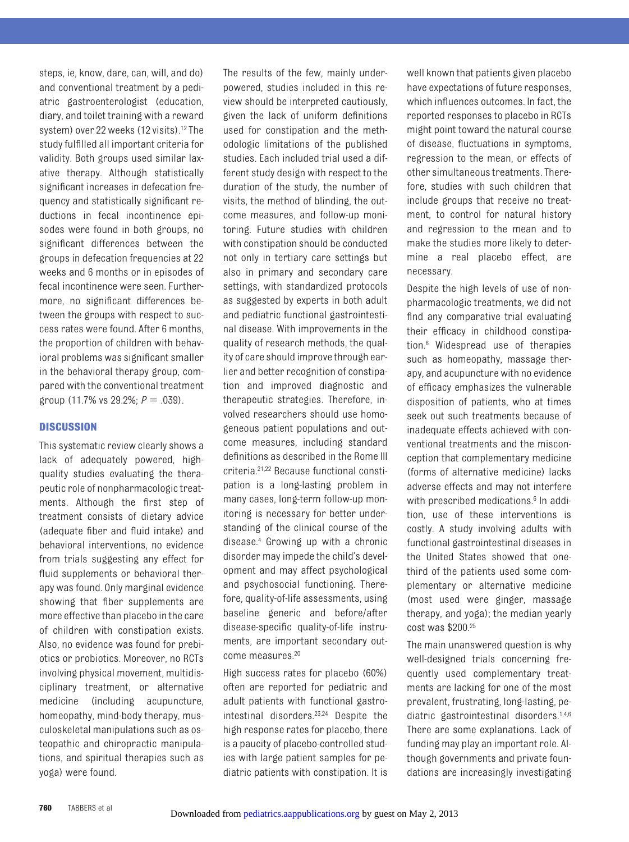steps, ie, know, dare, can, will, and do) and conventional treatment by a pediatric gastroenterologist (education, diary, and toilet training with a reward system) over 22 weeks (12 visits).<sup>12</sup> The study fulfilled all important criteria for validity. Both groups used similar laxative therapy. Although statistically significant increases in defecation frequency and statistically significant reductions in fecal incontinence episodes were found in both groups, no significant differences between the groups in defecation frequencies at 22 weeks and 6 months or in episodes of fecal incontinence were seen. Furthermore, no significant differences between the groups with respect to success rates were found. After 6 months, the proportion of children with behavioral problems was significant smaller in the behavioral therapy group, compared with the conventional treatment group  $(11.7\% \text{ vs } 29.2\%; P = .039)$ .

#### **DISCUSSION**

This systematic review clearly shows a lack of adequately powered, highquality studies evaluating the therapeutic role of nonpharmacologic treatments. Although the first step of treatment consists of dietary advice (adequate fiber and fluid intake) and behavioral interventions, no evidence from trials suggesting any effect for fluid supplements or behavioral therapy was found. Only marginal evidence showing that fiber supplements are more effective than placebo in the care of children with constipation exists. Also, no evidence was found for prebiotics or probiotics. Moreover, no RCTs involving physical movement, multidisciplinary treatment, or alternative medicine (including acupuncture, homeopathy, mind-body therapy, musculoskeletal manipulations such as osteopathic and chiropractic manipulations, and spiritual therapies such as yoga) were found.

The results of the few, mainly underpowered, studies included in this review should be interpreted cautiously, given the lack of uniform definitions used for constipation and the methodologic limitations of the published studies. Each included trial used a different study design with respect to the duration of the study, the number of visits, the method of blinding, the outcome measures, and follow-up monitoring. Future studies with children with constipation should be conducted not only in tertiary care settings but also in primary and secondary care settings, with standardized protocols as suggested by experts in both adult and pediatric functional gastrointestinal disease. With improvements in the quality of research methods, the quality of care should improve through earlier and better recognition of constipation and improved diagnostic and therapeutic strategies. Therefore, involved researchers should use homogeneous patient populations and outcome measures, including standard definitions as described in the Rome III criteria[.21,](#page-9-19)[22](#page-9-20) Because functional constipation is a long-lasting problem in many cases, long-term follow-up monitoring is necessary for better understanding of the clinical course of the disease[.4](#page-9-3) Growing up with a chronic disorder may impede the child's development and may affect psychological and psychosocial functioning. Therefore, quality-of-life assessments, using baseline generic and before/after disease-specific quality-of-life instruments, are important secondary outcome measures[.20](#page-9-18)

High success rates for placebo (60%) often are reported for pediatric and adult patients with functional gastrointestinal disorders[.23,](#page-9-21)[24](#page-9-22) Despite the high response rates for placebo, there is a paucity of placebo-controlled studies with large patient samples for pediatric patients with constipation. It is

well known that patients given placebo have expectations of future responses, which influences outcomes. In fact, the reported responses to placebo in RCTs might point toward the natural course of disease, fluctuations in symptoms, regression to the mean, or effects of other simultaneous treatments. Therefore, studies with such children that include groups that receive no treatment, to control for natural history and regression to the mean and to make the studies more likely to determine a real placebo effect, are necessary.

Despite the high levels of use of nonpharmacologic treatments, we did not find any comparative trial evaluating their efficacy in childhood constipation[.6](#page-9-5) Widespread use of therapies such as homeopathy, massage therapy, and acupuncture with no evidence of efficacy emphasizes the vulnerable disposition of patients, who at times seek out such treatments because of inadequate effects achieved with conventional treatments and the misconception that complementary medicine (forms of alternative medicine) lacks adverse effects and may not interfere with prescribed medications.<sup>6</sup> In addition, use of these interventions is costly. A study involving adults with functional gastrointestinal diseases in the United States showed that onethird of the patients used some complementary or alternative medicine (most used were ginger, massage therapy, and yoga); the median yearly cost was \$200[.25](#page-9-23)

The main unanswered question is why well-designed trials concerning frequently used complementary treatments are lacking for one of the most prevalent, frustrating, long-lasting, pediatric gastrointestinal disorders[.1](#page-9-0)[,4](#page-9-3)[,6](#page-9-5) There are some explanations. Lack of funding may play an important role. Although governments and private foundations are increasingly investigating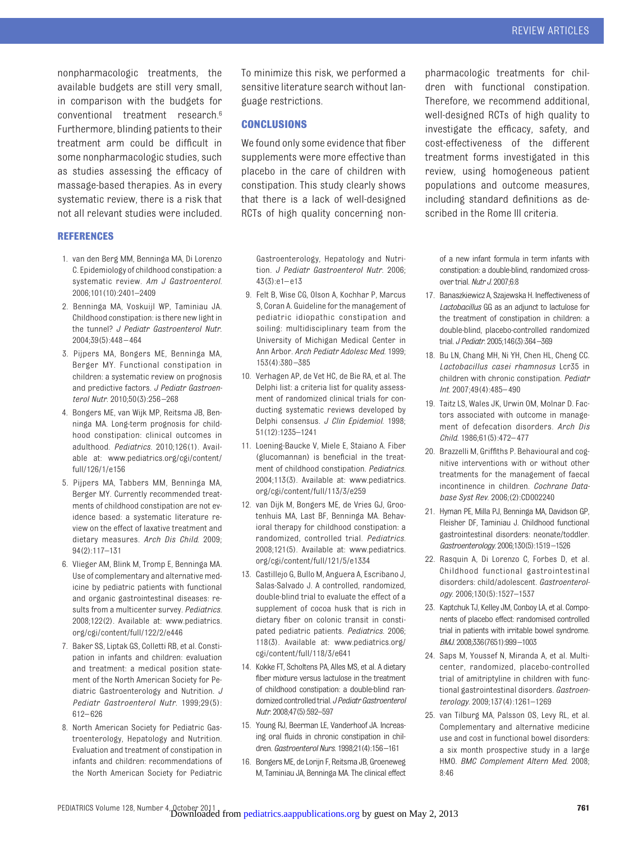nonpharmacologic treatments, the available budgets are still very small, in comparison with the budgets for conventional treatment research[.6](#page-9-5) Furthermore, blinding patients to their treatment arm could be difficult in some nonpharmacologic studies, such as studies assessing the efficacy of massage-based therapies. As in every systematic review, there is a risk that not all relevant studies were included.

#### **REFERENCES**

- <span id="page-9-0"></span>1. van den Berg MM, Benninga MA, Di Lorenzo C. Epidemiology of childhood constipation: a systematic review. *Am J Gastroenterol*. 2006;101(10):2401–2409
- <span id="page-9-1"></span>2. Benninga MA, Voskuijl WP, Taminiau JA. Childhood constipation: is there new light in the tunnel? *J Pediatr Gastroenterol Nutr*. 2004;39(5):448 – 464
- <span id="page-9-2"></span>3. Pijpers MA, Bongers ME, Benninga MA, Berger MY. Functional constipation in children: a systematic review on prognosis and predictive factors. *J Pediatr Gastroenterol Nutr*. 2010;50(3):256 –268
- <span id="page-9-3"></span>4. Bongers ME, van Wijk MP, Reitsma JB, Benninga MA. Long-term prognosis for childhood constipation: clinical outcomes in adulthood. *Pediatrics*. 2010;126(1). Available at: [www.pediatrics.org/cgi/content/](www.pediatrics.org/cgi/content/full/126/1/e156) [full/126/1/e156](www.pediatrics.org/cgi/content/full/126/1/e156)
- <span id="page-9-4"></span>5. Pijpers MA, Tabbers MM, Benninga MA, Berger MY. Currently recommended treatments of childhood constipation are not evidence based: a systematic literature review on the effect of laxative treatment and dietary measures. *Arch Dis Child*. 2009; 94(2):117–131
- <span id="page-9-5"></span>6. Vlieger AM, Blink M, Tromp E, Benninga MA. Use of complementary and alternative medicine by pediatric patients with functional and organic gastrointestinal diseases: results from a multicenter survey. *Pediatrics*. 2008;122(2). Available at: [www.pediatrics.](www.pediatrics.org/cgi/content/full/122/2/e446) [org/cgi/content/full/122/2/e446](www.pediatrics.org/cgi/content/full/122/2/e446)
- <span id="page-9-6"></span>7. Baker SS, Liptak GS, Colletti RB, et al. Constipation in infants and children: evaluation and treatment: a medical position statement of the North American Society for Pediatric Gastroenterology and Nutrition. *J Pediatr Gastroenterol Nutr*. 1999;29(5): 612– 626
- 8. North American Society for Pediatric Gastroenterology, Hepatology and Nutrition. Evaluation and treatment of constipation in infants and children: recommendations of the North American Society for Pediatric

To minimize this risk, we performed a sensitive literature search without language restrictions.

#### **CONCLUSIONS**

We found only some evidence that fiber supplements were more effective than placebo in the care of children with constipation. This study clearly shows that there is a lack of well-designed RCTs of high quality concerning non-

Gastroenterology, Hepatology and Nutrition. *J Pediatr Gastroenterol Nutr*. 2006;  $43(3):e1-e13$ 

- <span id="page-9-7"></span>9. Felt B, Wise CG, Olson A, Kochhar P, Marcus S, Coran A. Guideline for the management of pediatric idiopathic constipation and soiling: multidisciplinary team from the University of Michigan Medical Center in Ann Arbor. *Arch Pediatr Adolesc Med*. 1999; 153(4):380 –385
- <span id="page-9-8"></span>10. Verhagen AP, de Vet HC, de Bie RA, et al. The Delphi list: a criteria list for quality assessment of randomized clinical trials for conducting systematic reviews developed by Delphi consensus. *J Clin Epidemiol*. 1998; 51(12):1235–1241
- <span id="page-9-9"></span>11. Loening-Baucke V, Miele E, Staiano A. Fiber (glucomannan) is beneficial in the treatment of childhood constipation. *Pediatrics*. 2004;113(3). Available at: [www.pediatrics.](www.pediatrics.org/cgi/content/full/113/3/e259) [org/cgi/content/full/113/3/e259](www.pediatrics.org/cgi/content/full/113/3/e259)
- <span id="page-9-10"></span>12. van Dijk M, Bongers ME, de Vries GJ, Grootenhuis MA, Last BF, Benninga MA. Behavioral therapy for childhood constipation: a randomized, controlled trial. *Pediatrics*. 2008;121(5). Available at: [www.pediatrics.](www.pediatrics.org/cgi/content/full/121/5/e1334) [org/cgi/content/full/121/5/e1334](www.pediatrics.org/cgi/content/full/121/5/e1334)
- <span id="page-9-14"></span>13. Castillejo G, Bullo M, Anguera A, Escribano J, Salas-Salvado J. A controlled, randomized, double-blind trial to evaluate the effect of a supplement of cocoa husk that is rich in dietary fiber on colonic transit in constipated pediatric patients. *Pediatrics*. 2006; 118(3). Available at: [www.pediatrics.org/](www.pediatrics.org/cgi/content/full/118/3/e641) [cgi/content/full/118/3/e641](www.pediatrics.org/cgi/content/full/118/3/e641)
- <span id="page-9-11"></span>14. Kokke FT, Scholtens PA, Alles MS, et al. A dietary fiber mixture versus lactulose in the treatment of childhood constipation: a double-blind randomized controlled trial. *J Pediatr Gastroenterol Nutr*. 2008;47(5):592–597
- <span id="page-9-15"></span>15. Young RJ, Beerman LE, Vanderhoof JA. Increasing oral fluids in chronic constipation in children. *Gastroenterol Nurs*. 1998;21(4):156–161
- <span id="page-9-17"></span>16. Bongers ME, de Lorijn F, Reitsma JB, Groeneweg M, Taminiau JA, Benninga MA. The clinical effect

pharmacologic treatments for children with functional constipation. Therefore, we recommend additional, well-designed RCTs of high quality to investigate the efficacy, safety, and cost-effectiveness of the different treatment forms investigated in this review, using homogeneous patient populations and outcome measures, including standard definitions as described in the Rome III criteria.

of a new infant formula in term infants with constipation: a double-blind, randomized crossover trial. *Nutr J*. 2007;6:8

- <span id="page-9-16"></span>17. Banaszkiewicz A, Szajewska H. Ineffectiveness of *Lactobacillus* GG as an adjunct to lactulose for the treatment of constipation in children: a double-blind, placebo-controlled randomized trial. *J Pediatr*. 2005;146(3):364–369
- <span id="page-9-12"></span>18. Bu LN, Chang MH, Ni YH, Chen HL, Cheng CC. *Lactobacillus casei rhamnosus* Lcr35 in children with chronic constipation. *Pediatr Int*. 2007;49(4):485– 490
- <span id="page-9-13"></span>19. Taitz LS, Wales JK, Urwin OM, Molnar D. Factors associated with outcome in management of defecation disorders. *Arch Dis Child*. 1986;61(5):472– 477
- <span id="page-9-18"></span>20. Brazzelli M, Griffiths P. Behavioural and cognitive interventions with or without other treatments for the management of faecal incontinence in children. *Cochrane Database Syst Rev*. 2006;(2):CD002240
- <span id="page-9-19"></span>21. Hyman PE, Milla PJ, Benninga MA, Davidson GP, Fleisher DF, Taminiau J. Childhood functional gastrointestinal disorders: neonate/toddler. *Gastroenterology*. 2006;130(5):1519–1526
- <span id="page-9-20"></span>22. Rasquin A, Di Lorenzo C, Forbes D, et al. Childhood functional gastrointestinal disorders: child/adolescent. *Gastroenterology*. 2006;130(5):1527–1537
- <span id="page-9-21"></span>23. Kaptchuk TJ, Kelley JM, Conboy LA, et al. Components of placebo effect: randomised controlled trial in patients with irritable bowel syndrome. *BMJ*. 2008;336(7651):999–1003
- <span id="page-9-22"></span>24. Saps M, Youssef N, Miranda A, et al. Multicenter, randomized, placebo-controlled trial of amitriptyline in children with functional gastrointestinal disorders. *Gastroenterology*. 2009;137(4):1261–1269
- <span id="page-9-23"></span>25. van Tilburg MA, Palsson OS, Levy RL, et al. Complementary and alternative medicine use and cost in functional bowel disorders: a six month prospective study in a large HMO. *BMC Complement Altern Med*. 2008; 8:46